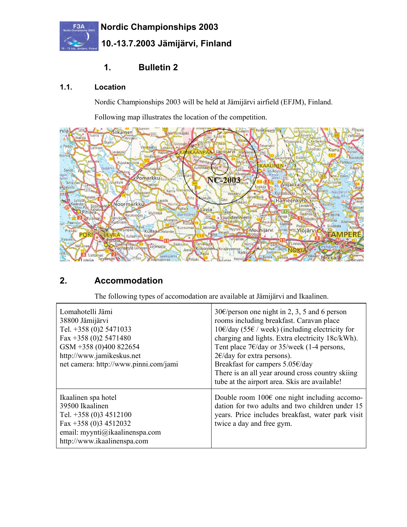

# **1. Bulletin 2**

#### **1.1. Location**

Nordic Championships 2003 will be held at Jämijärvi airfield (EFJM), Finland.

Following map illustrates the location of the competition.



## **2. Accommodation**

The following types of accomodation are available at Jämijärvi and Ikaalinen.

| Lomahotelli Jämi<br>38800 Jämijärvi<br>Tel. +358 (0)2 5471033<br>Fax +358 (0)2 5471480<br>GSM +358 (0)400 822654<br>http://www.jamikeskus.net<br>net camera: http://www.pinni.com/jami | 30 $\epsilon$ /person one night in 2, 3, 5 and 6 person<br>rooms including breakfast. Caravan place<br>10€/day (55€ / week) (including electricity for<br>charging and lights. Extra electricity 18c/kWh).<br>Tent place $7 \times$ /day or 35/week (1-4 persons,<br>$2 \times$ /day for extra persons).<br>Breakfast for campers 5.05€/day<br>There is an all year around cross country skiing<br>tube at the airport area. Skis are available! |
|----------------------------------------------------------------------------------------------------------------------------------------------------------------------------------------|--------------------------------------------------------------------------------------------------------------------------------------------------------------------------------------------------------------------------------------------------------------------------------------------------------------------------------------------------------------------------------------------------------------------------------------------------|
| Ikaalinen spa hotel<br>39500 Ikaalinen<br>Tel. $+358(0)34512100$<br>Fax +358 (0)3 4512032<br>email: myynti@ikaalinenspa.com<br>http://www.ikaalinenspa.com                             | Double room $100\epsilon$ one night including accomo-<br>dation for two adults and two children under 15<br>years. Price includes breakfast, water park visit<br>twice a day and free gym.                                                                                                                                                                                                                                                       |